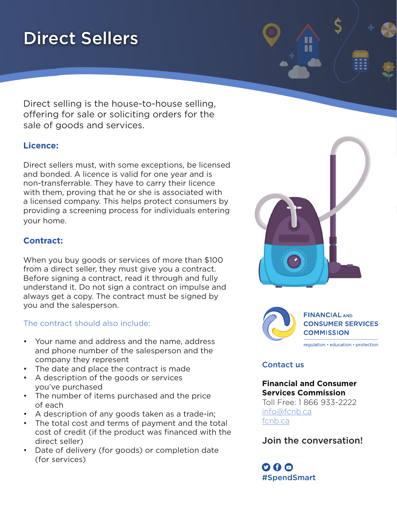# Direct Sellers

Direct selling is the house-to-house selling, offering for sale or soliciting orders for the sale of goods and services.

# **Licence:**

Direct sellers must, with some exceptions, be licensed and bonded. A licence is valid for one year and is non-transferrable. They have to carry their licence with them, proving that he or she is associated with a licensed company. This helps protect consumers by providing a screening process for individuals entering your home.

# **Contract:**

When you buy goods or services of more than \$100 from a direct seller, they must give you a contract. Before signing a contract, read it through and fully understand it. Do not sign a contract on impulse and always get a copy. The contract must be signed by you and the salesperson.

The contract should also include:

- Your name and address and the name, address and phone number of the salesperson and the company they represent
- The date and place the contract is made
- A description of the goods or services you've purchased
- The number of items purchased and the price of each
- A description of any goods taken as a trade-in;
- The total cost and terms of payment and the total cost of credit (if the product was financed with the direct seller)
- Date of delivery (for goods) or completion date (for services)





#### **FINANCIAL AND CONSUMER SERVICES COMMISSION**

regulation • education • protection

#### Contact us

### **Financial and Consumer Services Commission**

Toll Free: 1 866 933-2222 [info@fcnb.ca](mailto:info%40fcnb.ca?subject=) [fcnb.ca](http://fr.fcnb.ca/ConsommateursFinanciers.html)

Join the conversation!

 $O$   $\boldsymbol{\theta}$   $O$ #SpendSmart